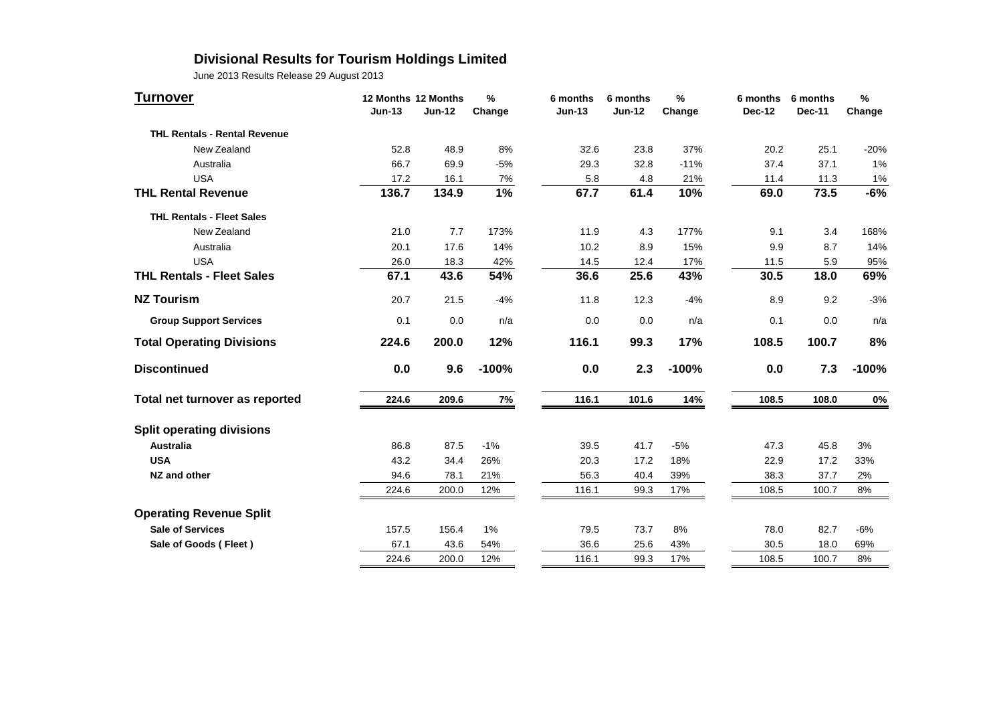## **Divisional Results for Tourism Holdings Limited**

| <b>Turnover</b>                     | 12 Months 12 Months<br>$Jun-13$ | <b>Jun-12</b> | $\frac{9}{6}$<br>Change | 6 months<br>$Jun-13$ | 6 months<br><b>Jun-12</b> | $\frac{9}{6}$<br>Change | 6 months<br>Dec-12 | 6 months<br><b>Dec-11</b> | $\frac{9}{6}$<br>Change |
|-------------------------------------|---------------------------------|---------------|-------------------------|----------------------|---------------------------|-------------------------|--------------------|---------------------------|-------------------------|
| <b>THL Rentals - Rental Revenue</b> |                                 |               |                         |                      |                           |                         |                    |                           |                         |
| New Zealand                         | 52.8                            | 48.9          | 8%                      | 32.6                 | 23.8                      | 37%                     | 20.2               | 25.1                      | $-20%$                  |
| Australia                           | 66.7                            | 69.9          | $-5%$                   | 29.3                 | 32.8                      | $-11%$                  | 37.4               | 37.1                      | 1%                      |
| <b>USA</b>                          | 17.2                            | 16.1          | 7%                      | 5.8                  | 4.8                       | 21%                     | 11.4               | 11.3                      | $1\%$                   |
| <b>THL Rental Revenue</b>           | 136.7                           | 134.9         | 1%                      | 67.7                 | 61.4                      | 10%                     | 69.0               | 73.5                      | $-6%$                   |
| <b>THL Rentals - Fleet Sales</b>    |                                 |               |                         |                      |                           |                         |                    |                           |                         |
| New Zealand                         | 21.0                            | 7.7           | 173%                    | 11.9                 | 4.3                       | 177%                    | 9.1                | 3.4                       | 168%                    |
| Australia                           | 20.1                            | 17.6          | 14%                     | 10.2                 | 8.9                       | 15%                     | 9.9                | 8.7                       | 14%                     |
| <b>USA</b>                          | 26.0                            | 18.3          | 42%                     | 14.5                 | 12.4                      | 17%                     | 11.5               | 5.9                       | 95%                     |
| <b>THL Rentals - Fleet Sales</b>    | 67.1                            | 43.6          | 54%                     | 36.6                 | 25.6                      | 43%                     | 30.5               | 18.0                      | 69%                     |
| <b>NZ Tourism</b>                   | 20.7                            | 21.5          | $-4%$                   | 11.8                 | 12.3                      | $-4%$                   | 8.9                | 9.2                       | $-3%$                   |
| <b>Group Support Services</b>       | 0.1                             | 0.0           | n/a                     | 0.0                  | 0.0                       | n/a                     | 0.1                | 0.0                       | n/a                     |
| <b>Total Operating Divisions</b>    | 224.6                           | 200.0         | 12%                     | 116.1                | 99.3                      | 17%                     | 108.5              | 100.7                     | 8%                      |
| <b>Discontinued</b>                 | 0.0                             | 9.6           | $-100%$                 | 0.0                  | 2.3                       | $-100%$                 | 0.0                | 7.3                       | $-100%$                 |
| Total net turnover as reported      | 224.6                           | 209.6         | 7%                      | 116.1                | 101.6                     | 14%                     | 108.5              | 108.0                     | 0%                      |
| <b>Split operating divisions</b>    |                                 |               |                         |                      |                           |                         |                    |                           |                         |
| <b>Australia</b>                    | 86.8                            | 87.5          | $-1%$                   | 39.5                 | 41.7                      | $-5%$                   | 47.3               | 45.8                      | 3%                      |
| <b>USA</b>                          | 43.2                            | 34.4          | 26%                     | 20.3                 | 17.2                      | 18%                     | 22.9               | 17.2                      | 33%                     |
| NZ and other                        | 94.6                            | 78.1          | 21%                     | 56.3                 | 40.4                      | 39%                     | 38.3               | 37.7                      | 2%                      |
|                                     | 224.6                           | 200.0         | 12%                     | 116.1                | 99.3                      | 17%                     | 108.5              | 100.7                     | 8%                      |
| <b>Operating Revenue Split</b>      |                                 |               |                         |                      |                           |                         |                    |                           |                         |
| <b>Sale of Services</b>             | 157.5                           | 156.4         | 1%                      | 79.5                 | 73.7                      | 8%                      | 78.0               | 82.7                      | $-6%$                   |
| Sale of Goods (Fleet)               | 67.1                            | 43.6          | 54%                     | 36.6                 | 25.6                      | 43%                     | 30.5               | 18.0                      | 69%                     |
|                                     | 224.6                           | 200.0         | 12%                     | 116.1                | 99.3                      | 17%                     | 108.5              | 100.7                     | 8%                      |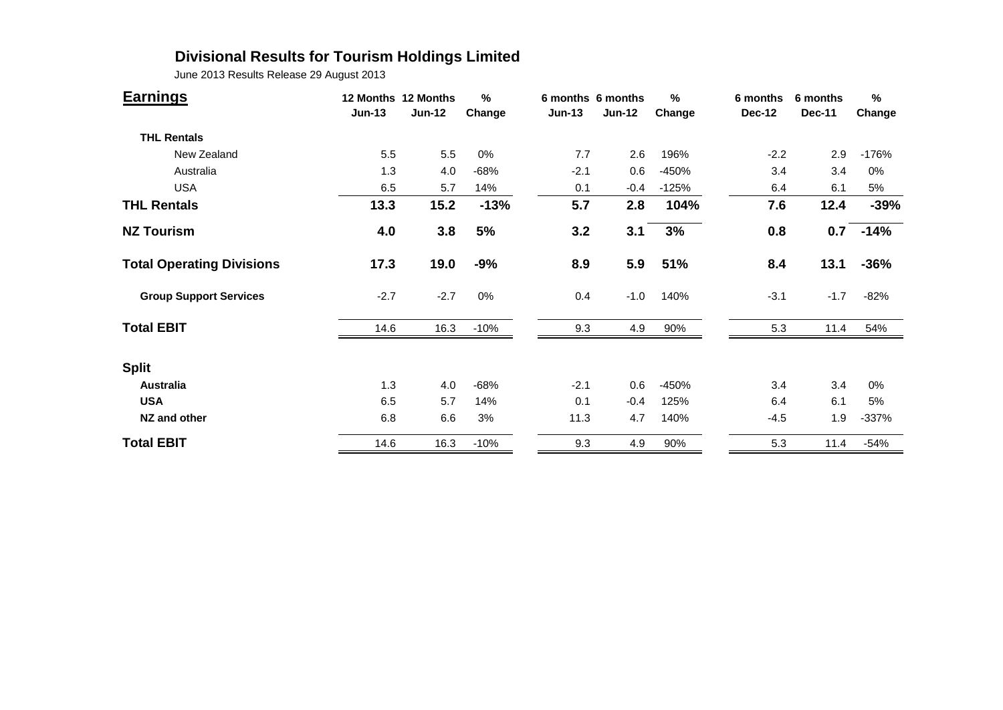## **Divisional Results for Tourism Holdings Limited**

| <b>Earnings</b>                  | $Jun-13$ | 12 Months 12 Months<br><b>Jun-12</b> | %<br>Change | $Jun-13$ | 6 months 6 months<br>$Jun-12$ | %<br>Change | 6 months<br><b>Dec-12</b> | 6 months<br><b>Dec-11</b> | $\%$<br>Change |
|----------------------------------|----------|--------------------------------------|-------------|----------|-------------------------------|-------------|---------------------------|---------------------------|----------------|
| <b>THL Rentals</b>               |          |                                      |             |          |                               |             |                           |                           |                |
| New Zealand                      | 5.5      | 5.5                                  | 0%          | 7.7      | 2.6                           | 196%        | $-2.2$                    | 2.9                       | $-176%$        |
| Australia                        | 1.3      | 4.0                                  | $-68%$      | $-2.1$   | 0.6                           | -450%       | 3.4                       | 3.4                       | 0%             |
| <b>USA</b>                       | 6.5      | 5.7                                  | 14%         | 0.1      | $-0.4$                        | $-125%$     | 6.4                       | 6.1                       | 5%             |
| <b>THL Rentals</b>               | 13.3     | 15.2                                 | $-13%$      | 5.7      | 2.8                           | 104%        | 7.6                       | 12.4                      | $-39%$         |
| <b>NZ Tourism</b>                | 4.0      | 3.8                                  | 5%          | 3.2      | 3.1                           | 3%          | 0.8                       | 0.7                       | $-14%$         |
| <b>Total Operating Divisions</b> | 17.3     | 19.0                                 | $-9%$       | 8.9      | 5.9                           | 51%         | 8.4                       | 13.1                      | $-36%$         |
| <b>Group Support Services</b>    | $-2.7$   | $-2.7$                               | 0%          | 0.4      | $-1.0$                        | 140%        | $-3.1$                    | $-1.7$                    | $-82%$         |
| <b>Total EBIT</b>                | 14.6     | 16.3                                 | $-10%$      | 9.3      | 4.9                           | 90%         | 5.3                       | 11.4                      | 54%            |
| <b>Split</b>                     |          |                                      |             |          |                               |             |                           |                           |                |
| <b>Australia</b>                 | 1.3      | 4.0                                  | $-68%$      | $-2.1$   | 0.6                           | $-450%$     | 3.4                       | 3.4                       | 0%             |
| <b>USA</b>                       | 6.5      | 5.7                                  | 14%         | 0.1      | $-0.4$                        | 125%        | 6.4                       | 6.1                       | 5%             |
| NZ and other                     | 6.8      | 6.6                                  | 3%          | 11.3     | 4.7                           | 140%        | $-4.5$                    | 1.9                       | $-337%$        |
| <b>Total EBIT</b>                | 14.6     | 16.3                                 | $-10%$      | 9.3      | 4.9                           | 90%         | 5.3                       | 11.4                      | $-54%$         |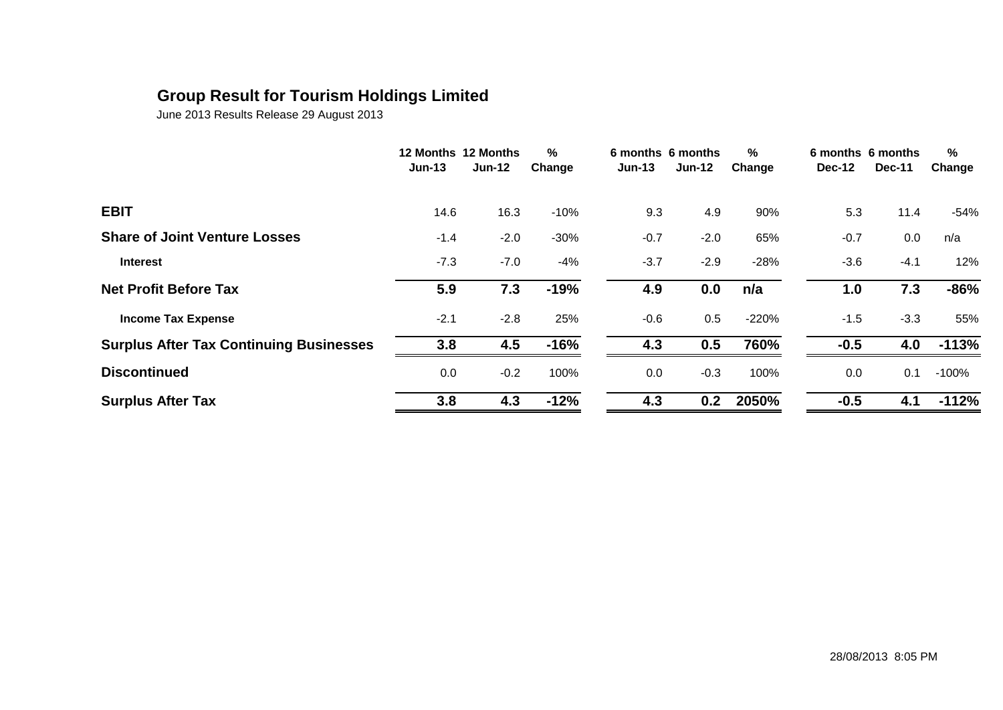## **Group Result for Tourism Holdings Limited**

|                                                | $Jun-13$ | 12 Months 12 Months<br><b>Jun-12</b> | $\%$<br>Change | $Jun-13$ | 6 months 6 months<br>$Jun-12$ | %<br>Change | <b>Dec-12</b> | 6 months 6 months<br><b>Dec-11</b> | $\%$<br>Change |
|------------------------------------------------|----------|--------------------------------------|----------------|----------|-------------------------------|-------------|---------------|------------------------------------|----------------|
| <b>EBIT</b>                                    | 14.6     | 16.3                                 | $-10%$         | 9.3      | 4.9                           | 90%         | 5.3           | 11.4                               | $-54%$         |
| <b>Share of Joint Venture Losses</b>           | $-1.4$   | $-2.0$                               | $-30%$         | $-0.7$   | $-2.0$                        | 65%         | $-0.7$        | 0.0                                | n/a            |
| <b>Interest</b>                                | $-7.3$   | $-7.0$                               | $-4%$          | $-3.7$   | $-2.9$                        | $-28%$      | $-3.6$        | $-4.1$                             | 12%            |
| <b>Net Profit Before Tax</b>                   | 5.9      | 7.3                                  | $-19%$         | 4.9      | 0.0                           | n/a         | 1.0           | 7.3                                | $-86%$         |
| <b>Income Tax Expense</b>                      | $-2.1$   | $-2.8$                               | 25%            | $-0.6$   | 0.5                           | $-220%$     | $-1.5$        | $-3.3$                             | 55%            |
| <b>Surplus After Tax Continuing Businesses</b> | 3.8      | 4.5                                  | $-16%$         | 4.3      | 0.5                           | 760%        | $-0.5$        | 4.0                                | $-113%$        |
| <b>Discontinued</b>                            | 0.0      | $-0.2$                               | 100%           | 0.0      | $-0.3$                        | 100%        | 0.0           | 0.1                                | $-100%$        |
| <b>Surplus After Tax</b>                       | 3.8      | 4.3                                  | $-12%$         | 4.3      | 0.2                           | 2050%       | $-0.5$        | 4.1                                | $-112%$        |